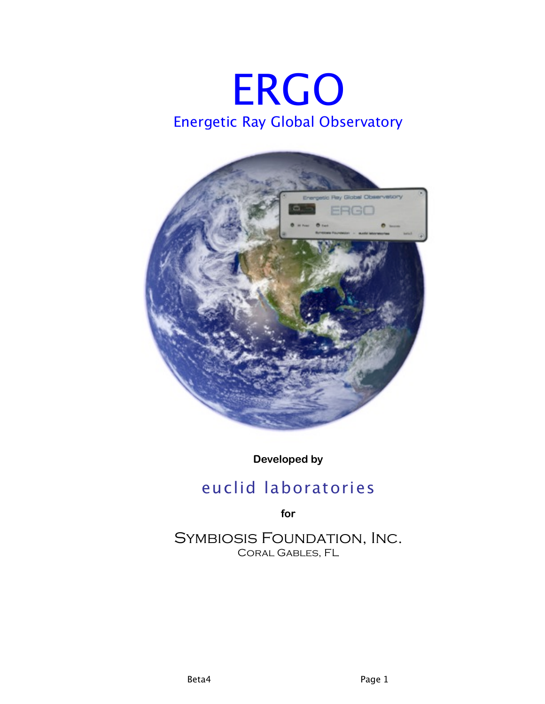



**Developed by**

# euclid laboratories

**for**

Symbiosis Foundation, Inc. Coral Gables, FL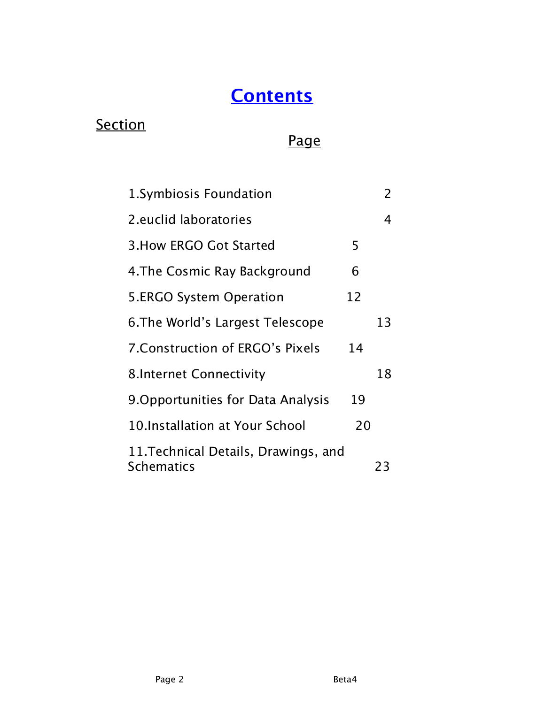# **Contents**

## **Section**

# Page

| 1. Symbiosis Foundation                                   |    | 2  |
|-----------------------------------------------------------|----|----|
| 2. euclid laboratories                                    |    | 4  |
| 3. How ERGO Got Started                                   | 5  |    |
| 4. The Cosmic Ray Background                              | 6  |    |
| 5.ERGO System Operation                                   | 12 |    |
| 6. The World's Largest Telescope                          |    | 13 |
| 7. Construction of ERGO's Pixels                          | 14 |    |
| <b>8.Internet Connectivity</b>                            |    | 18 |
| 9. Opportunities for Data Analysis                        | 19 |    |
| 10.Installation at Your School                            | 20 |    |
| 11. Technical Details, Drawings, and<br><b>Schematics</b> |    | 23 |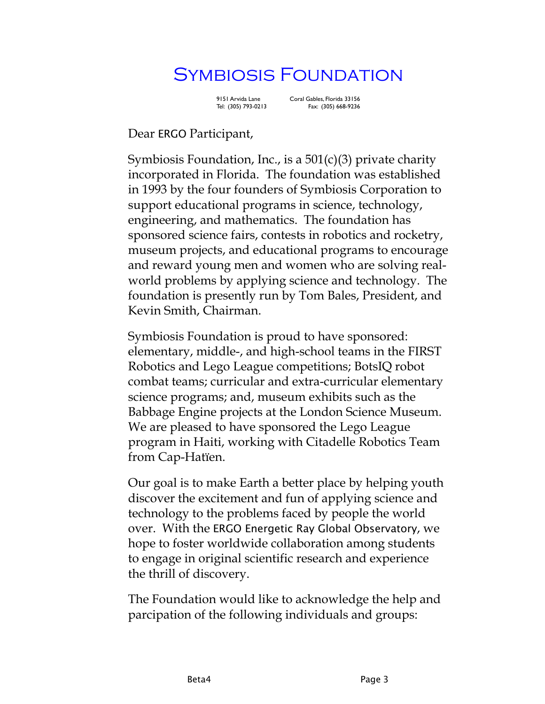# Symbiosis Foundation

9151 Arvida Lane Coral Gables, Florida 33156 Tel: (305) 793-0213 Fax: (305) 668-9236

Dear ERGO Participant,

Symbiosis Foundation, Inc., is a 501(c)(3) private charity incorporated in Florida. The foundation was established in 1993 by the four founders of Symbiosis Corporation to support educational programs in science, technology, engineering, and mathematics. The foundation has sponsored science fairs, contests in robotics and rocketry, museum projects, and educational programs to encourage and reward young men and women who are solving realworld problems by applying science and technology. The foundation is presently run by Tom Bales, President, and Kevin Smith, Chairman.

Symbiosis Foundation is proud to have sponsored: elementary, middle-, and high-school teams in the FIRST Robotics and Lego League competitions; BotsIQ robot combat teams; curricular and extra-curricular elementary science programs; and, museum exhibits such as the Babbage Engine projects at the London Science Museum. We are pleased to have sponsored the Lego League program in Haiti, working with Citadelle Robotics Team from Cap-Hatïen.

Our goal is to make Earth a better place by helping youth discover the excitement and fun of applying science and technology to the problems faced by people the world over. With the ERGO Energetic Ray Global Observatory, we hope to foster worldwide collaboration among students to engage in original scientific research and experience the thrill of discovery.

The Foundation would like to acknowledge the help and parcipation of the following individuals and groups: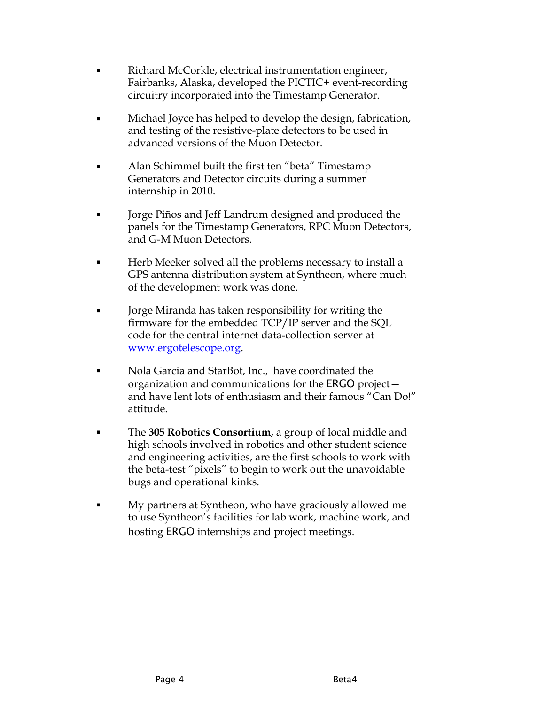- Richard McCorkle, electrical instrumentation engineer, Fairbanks, Alaska, developed the PICTIC+ event-recording circuitry incorporated into the Timestamp Generator.
- Michael Joyce has helped to develop the design, fabrication, and testing of the resistive-plate detectors to be used in advanced versions of the Muon Detector.
- Alan Schimmel built the first ten "beta" Timestamp Generators and Detector circuits during a summer internship in 2010.
- Jorge Piños and Jeff Landrum designed and produced the panels for the Timestamp Generators, RPC Muon Detectors, and G-M Muon Detectors.
- Herb Meeker solved all the problems necessary to install a GPS antenna distribution system at Syntheon, where much of the development work was done.
- Jorge Miranda has taken responsibility for writing the firmware for the embedded TCP/IP server and the SQL code for the central internet data-collection server at [www.ergotelescope.org.](http://www.ergotelescope.org)
- Nola Garcia and StarBot, Inc., have coordinated the organization and communications for the ERGO project and have lent lots of enthusiasm and their famous "Can Do!" attitude.
- The **305 Robotics Consortium**, a group of local middle and high schools involved in robotics and other student science and engineering activities, are the first schools to work with the beta-test "pixels" to begin to work out the unavoidable bugs and operational kinks.
- My partners at Syntheon, who have graciously allowed me to use Syntheon's facilities for lab work, machine work, and hosting ERGO internships and project meetings.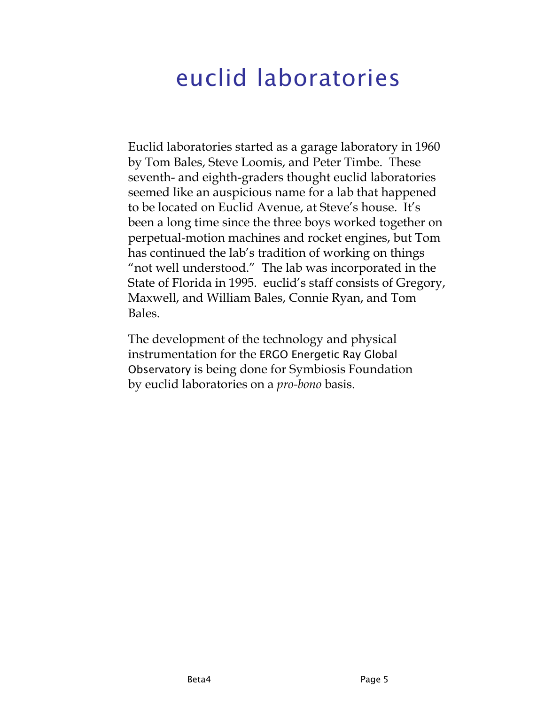# euclid laboratories

Euclid laboratories started as a garage laboratory in 1960 by Tom Bales, Steve Loomis, and Peter Timbe. These seventh- and eighth-graders thought euclid laboratories seemed like an auspicious name for a lab that happened to be located on Euclid Avenue, at Steve's house. It's been a long time since the three boys worked together on perpetual-motion machines and rocket engines, but Tom has continued the lab's tradition of working on things "not well understood." The lab was incorporated in the State of Florida in 1995. euclid's staff consists of Gregory, Maxwell, and William Bales, Connie Ryan, and Tom Bales.

The development of the technology and physical instrumentation for the ERGO Energetic Ray Global Observatory is being done for Symbiosis Foundation by euclid laboratories on a *pro-bono* basis.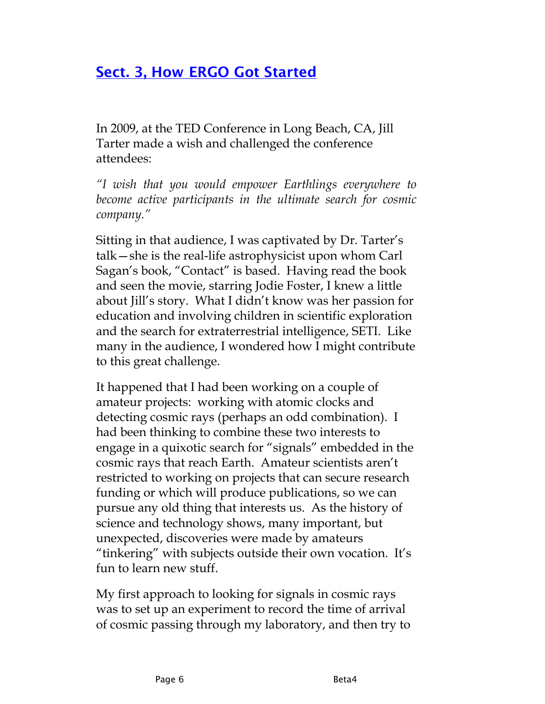## **Sect. 3, How ERGO Got Started**

In 2009, at the TED Conference in Long Beach, CA, Jill Tarter made a wish and challenged the conference attendees:

*"I wish that you would empower Earthlings everywhere to become active participants in the ultimate search for cosmic company."*

Sitting in that audience, I was captivated by Dr. Tarter's talk—she is the real-life astrophysicist upon whom Carl Sagan's book, "Contact" is based. Having read the book and seen the movie, starring Jodie Foster, I knew a little about Jill's story. What I didn't know was her passion for education and involving children in scientific exploration and the search for extraterrestrial intelligence, SETI. Like many in the audience, I wondered how I might contribute to this great challenge.

It happened that I had been working on a couple of amateur projects: working with atomic clocks and detecting cosmic rays (perhaps an odd combination). I had been thinking to combine these two interests to engage in a quixotic search for "signals" embedded in the cosmic rays that reach Earth. Amateur scientists aren't restricted to working on projects that can secure research funding or which will produce publications, so we can pursue any old thing that interests us. As the history of science and technology shows, many important, but unexpected, discoveries were made by amateurs "tinkering" with subjects outside their own vocation. It's fun to learn new stuff.

My first approach to looking for signals in cosmic rays was to set up an experiment to record the time of arrival of cosmic passing through my laboratory, and then try to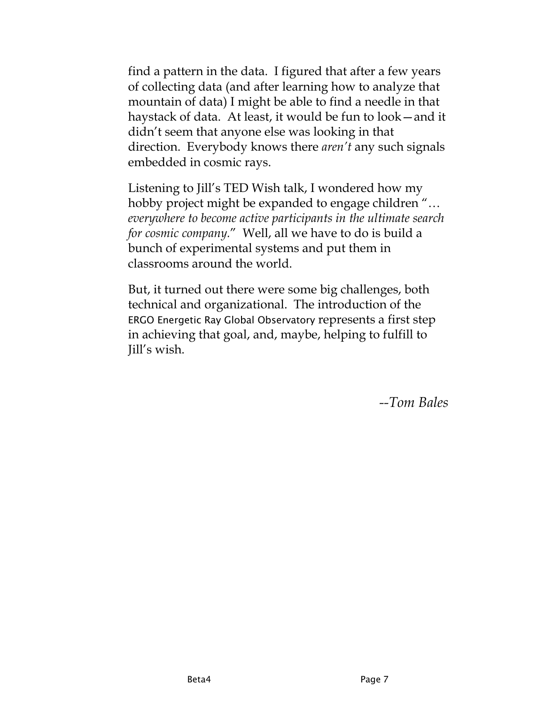find a pattern in the data. I figured that after a few years of collecting data (and after learning how to analyze that mountain of data) I might be able to find a needle in that haystack of data. At least, it would be fun to look—and it didn't seem that anyone else was looking in that direction. Everybody knows there *aren't* any such signals embedded in cosmic rays.

Listening to Jill's TED Wish talk, I wondered how my hobby project might be expanded to engage children "… *everywhere to become active participants in the ultimate search for cosmic company.*" Well, all we have to do is build a bunch of experimental systems and put them in classrooms around the world.

But, it turned out there were some big challenges, both technical and organizational. The introduction of the ERGO Energetic Ray Global Observatory represents a first step in achieving that goal, and, maybe, helping to fulfill to Jill's wish.

*--Tom Bales*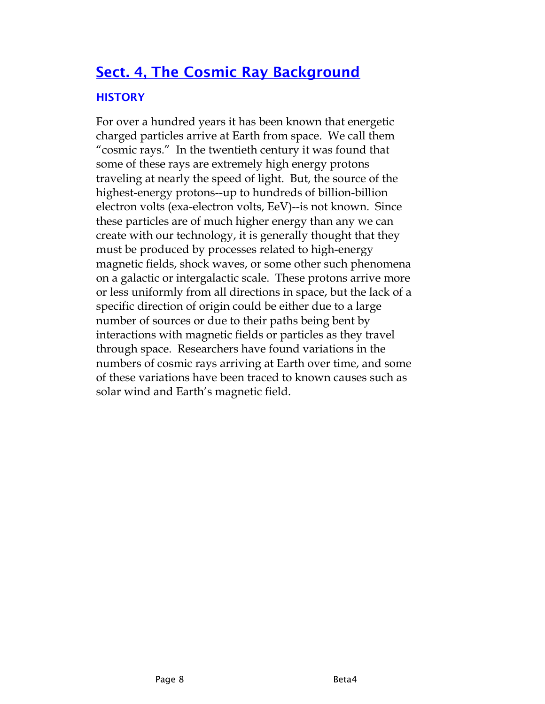## **Sect. 4, The Cosmic Ray Background**

#### **HISTORY**

For over a hundred years it has been known that energetic charged particles arrive at Earth from space. We call them "cosmic rays." In the twentieth century it was found that some of these rays are extremely high energy protons traveling at nearly the speed of light. But, the source of the highest-energy protons--up to hundreds of billion-billion electron volts (exa-electron volts, EeV)--is not known. Since these particles are of much higher energy than any we can create with our technology, it is generally thought that they must be produced by processes related to high-energy magnetic fields, shock waves, or some other such phenomena on a galactic or intergalactic scale. These protons arrive more or less uniformly from all directions in space, but the lack of a specific direction of origin could be either due to a large number of sources or due to their paths being bent by interactions with magnetic fields or particles as they travel through space. Researchers have found variations in the numbers of cosmic rays arriving at Earth over time, and some of these variations have been traced to known causes such as solar wind and Earth's magnetic field.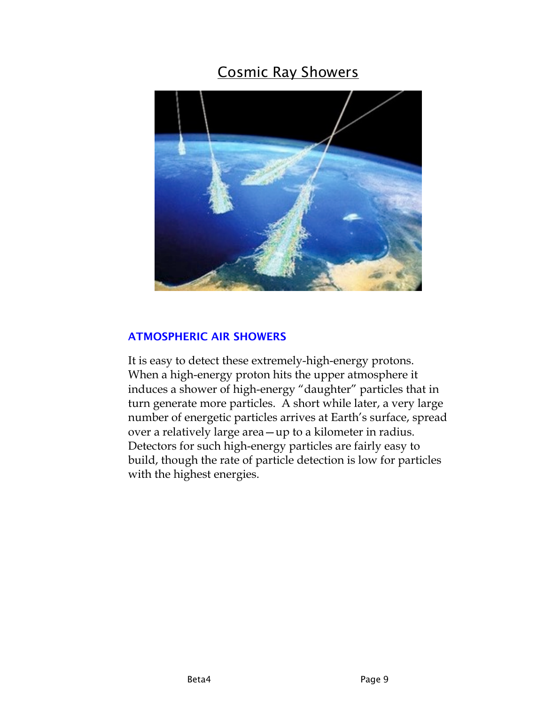#### Cosmic Ray Showers



#### **ATMOSPHERIC AIR SHOWERS**

It is easy to detect these extremely-high-energy protons. When a high-energy proton hits the upper atmosphere it induces a shower of high-energy "daughter" particles that in turn generate more particles. A short while later, a very large number of energetic particles arrives at Earth's surface, spread over a relatively large area—up to a kilometer in radius. Detectors for such high-energy particles are fairly easy to build, though the rate of particle detection is low for particles with the highest energies.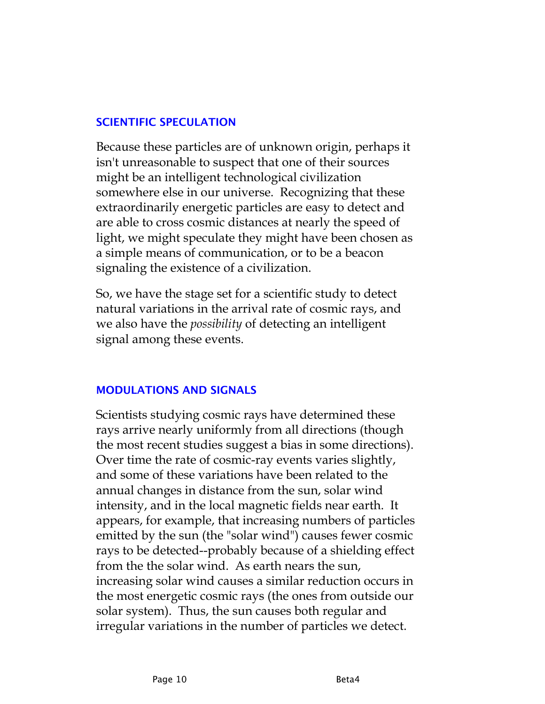#### **SCIENTIFIC SPECULATION**

Because these particles are of unknown origin, perhaps it isn't unreasonable to suspect that one of their sources might be an intelligent technological civilization somewhere else in our universe. Recognizing that these extraordinarily energetic particles are easy to detect and are able to cross cosmic distances at nearly the speed of light, we might speculate they might have been chosen as a simple means of communication, or to be a beacon signaling the existence of a civilization.

So, we have the stage set for a scientific study to detect natural variations in the arrival rate of cosmic rays, and we also have the *possibility* of detecting an intelligent signal among these events.

#### **MODULATIONS AND SIGNALS**

Scientists studying cosmic rays have determined these rays arrive nearly uniformly from all directions (though the most recent studies suggest a bias in some directions). Over time the rate of cosmic-ray events varies slightly, and some of these variations have been related to the annual changes in distance from the sun, solar wind intensity, and in the local magnetic fields near earth. It appears, for example, that increasing numbers of particles emitted by the sun (the "solar wind") causes fewer cosmic rays to be detected--probably because of a shielding effect from the the solar wind. As earth nears the sun, increasing solar wind causes a similar reduction occurs in the most energetic cosmic rays (the ones from outside our solar system). Thus, the sun causes both regular and irregular variations in the number of particles we detect.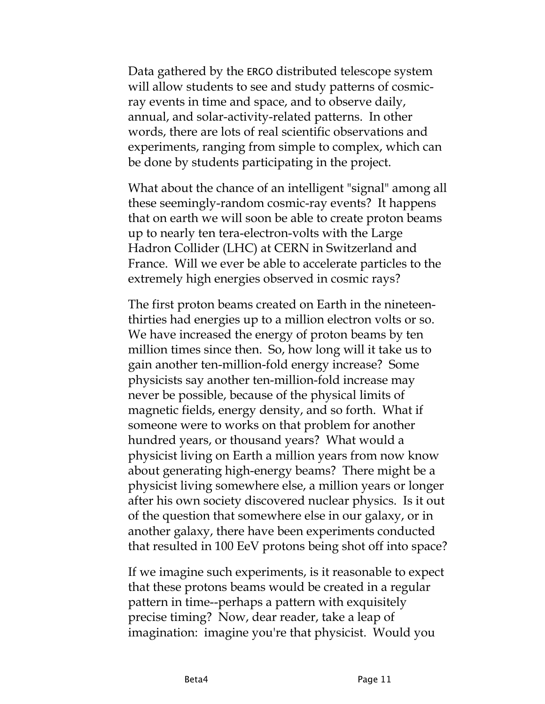Data gathered by the ERGO distributed telescope system will allow students to see and study patterns of cosmicray events in time and space, and to observe daily, annual, and solar-activity-related patterns. In other words, there are lots of real scientific observations and experiments, ranging from simple to complex, which can be done by students participating in the project.

What about the chance of an intelligent "signal" among all these seemingly-random cosmic-ray events? It happens that on earth we will soon be able to create proton beams up to nearly ten tera-electron-volts with the Large Hadron Collider (LHC) at CERN in Switzerland and France. Will we ever be able to accelerate particles to the extremely high energies observed in cosmic rays?

The first proton beams created on Earth in the nineteenthirties had energies up to a million electron volts or so. We have increased the energy of proton beams by ten million times since then. So, how long will it take us to gain another ten-million-fold energy increase? Some physicists say another ten-million-fold increase may never be possible, because of the physical limits of magnetic fields, energy density, and so forth. What if someone were to works on that problem for another hundred years, or thousand years? What would a physicist living on Earth a million years from now know about generating high-energy beams? There might be a physicist living somewhere else, a million years or longer after his own society discovered nuclear physics. Is it out of the question that somewhere else in our galaxy, or in another galaxy, there have been experiments conducted that resulted in 100 EeV protons being shot off into space?

If we imagine such experiments, is it reasonable to expect that these protons beams would be created in a regular pattern in time--perhaps a pattern with exquisitely precise timing? Now, dear reader, take a leap of imagination: imagine you're that physicist. Would you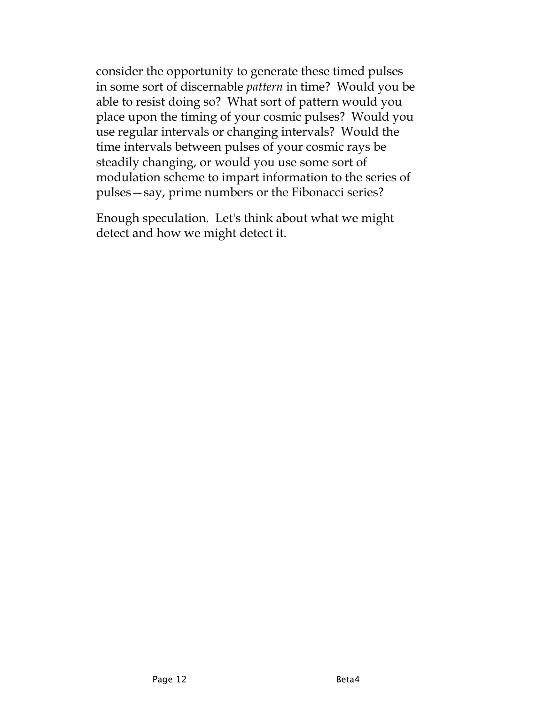consider the opportunity to generate these timed pulses in some sort of discernable *pattern* in time? Would you be able to resist doing so? What sort of pattern would you place upon the timing of your cosmic pulses? Would you use regular intervals or changing intervals? Would the time intervals between pulses of your cosmic rays be steadily changing, or would you use some sort of modulation scheme to impart information to the series of pulses—say, prime numbers or the Fibonacci series?

Enough speculation. Let's think about what we might detect and how we might detect it.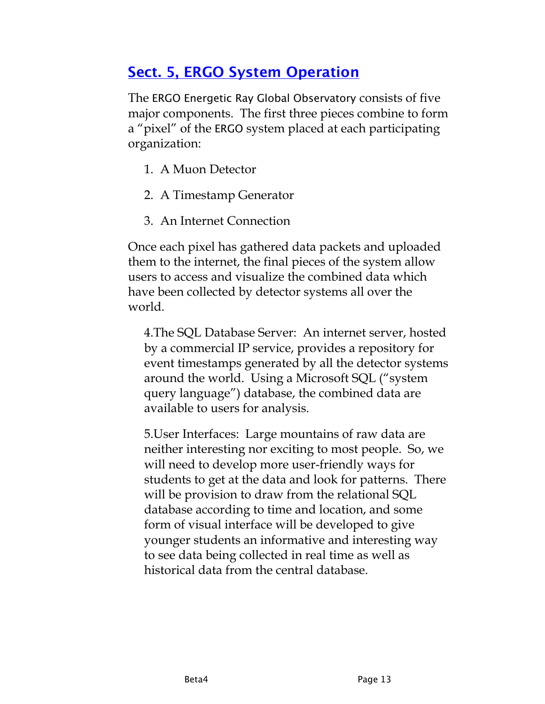## **Sect. 5, ERGO System Operation**

The ERGO Energetic Ray Global Observatory consists of five major components. The first three pieces combine to form a "pixel" of the ERGO system placed at each participating organization:

- 1. A Muon Detector
- 2. A Timestamp Generator
- 3. An Internet Connection

Once each pixel has gathered data packets and uploaded them to the internet, the final pieces of the system allow users to access and visualize the combined data which have been collected by detector systems all over the world.

4.The SQL Database Server: An internet server, hosted by a commercial IP service, provides a repository for event timestamps generated by all the detector systems around the world. Using a Microsoft SQL ("system query language") database, the combined data are available to users for analysis.

5.User Interfaces: Large mountains of raw data are neither interesting nor exciting to most people. So, we will need to develop more user-friendly ways for students to get at the data and look for patterns. There will be provision to draw from the relational SQL database according to time and location, and some form of visual interface will be developed to give younger students an informative and interesting way to see data being collected in real time as well as historical data from the central database.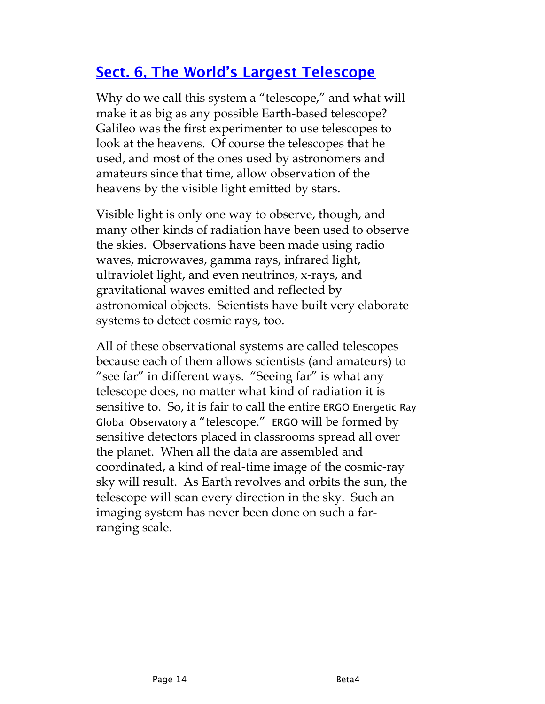## **Sect. 6, The World's Largest Telescope**

Why do we call this system a "telescope," and what will make it as big as any possible Earth-based telescope? Galileo was the first experimenter to use telescopes to look at the heavens. Of course the telescopes that he used, and most of the ones used by astronomers and amateurs since that time, allow observation of the heavens by the visible light emitted by stars.

Visible light is only one way to observe, though, and many other kinds of radiation have been used to observe the skies. Observations have been made using radio waves, microwaves, gamma rays, infrared light, ultraviolet light, and even neutrinos, x-rays, and gravitational waves emitted and reflected by astronomical objects. Scientists have built very elaborate systems to detect cosmic rays, too.

All of these observational systems are called telescopes because each of them allows scientists (and amateurs) to "see far" in different ways. "Seeing far" is what any telescope does, no matter what kind of radiation it is sensitive to. So, it is fair to call the entire ERGO Energetic Ray Global Observatory a "telescope." ERGO will be formed by sensitive detectors placed in classrooms spread all over the planet. When all the data are assembled and coordinated, a kind of real-time image of the cosmic-ray sky will result. As Earth revolves and orbits the sun, the telescope will scan every direction in the sky. Such an imaging system has never been done on such a farranging scale.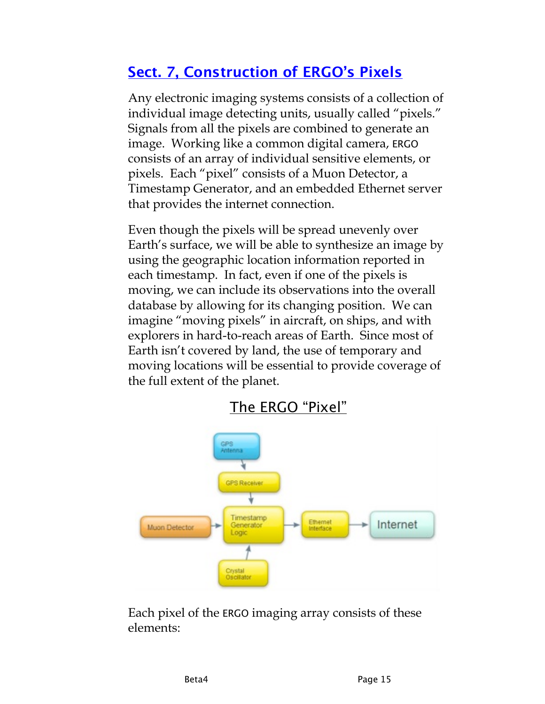## **Sect. 7, Construction of ERGO's Pixels**

Any electronic imaging systems consists of a collection of individual image detecting units, usually called "pixels." Signals from all the pixels are combined to generate an image. Working like a common digital camera, ERGO consists of an array of individual sensitive elements, or pixels. Each "pixel" consists of a Muon Detector, a Timestamp Generator, and an embedded Ethernet server that provides the internet connection.

Even though the pixels will be spread unevenly over Earth's surface, we will be able to synthesize an image by using the geographic location information reported in each timestamp. In fact, even if one of the pixels is moving, we can include its observations into the overall database by allowing for its changing position. We can imagine "moving pixels" in aircraft, on ships, and with explorers in hard-to-reach areas of Earth. Since most of Earth isn't covered by land, the use of temporary and moving locations will be essential to provide coverage of the full extent of the planet.



Each pixel of the ERGO imaging array consists of these elements: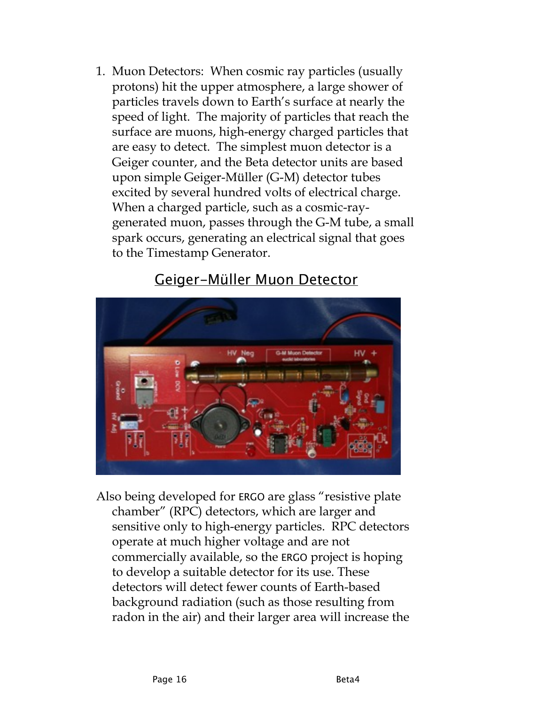1. Muon Detectors: When cosmic ray particles (usually protons) hit the upper atmosphere, a large shower of particles travels down to Earth's surface at nearly the speed of light. The majority of particles that reach the surface are muons, high-energy charged particles that are easy to detect. The simplest muon detector is a Geiger counter, and the Beta detector units are based upon simple Geiger-Müller (G-M) detector tubes excited by several hundred volts of electrical charge. When a charged particle, such as a cosmic-raygenerated muon, passes through the G-M tube, a small spark occurs, generating an electrical signal that goes to the Timestamp Generator.



#### Geiger-Müller Muon Detector

Also being developed for ERGO are glass "resistive plate chamber" (RPC) detectors, which are larger and sensitive only to high-energy particles. RPC detectors operate at much higher voltage and are not commercially available, so the ERGO project is hoping to develop a suitable detector for its use. These detectors will detect fewer counts of Earth-based background radiation (such as those resulting from radon in the air) and their larger area will increase the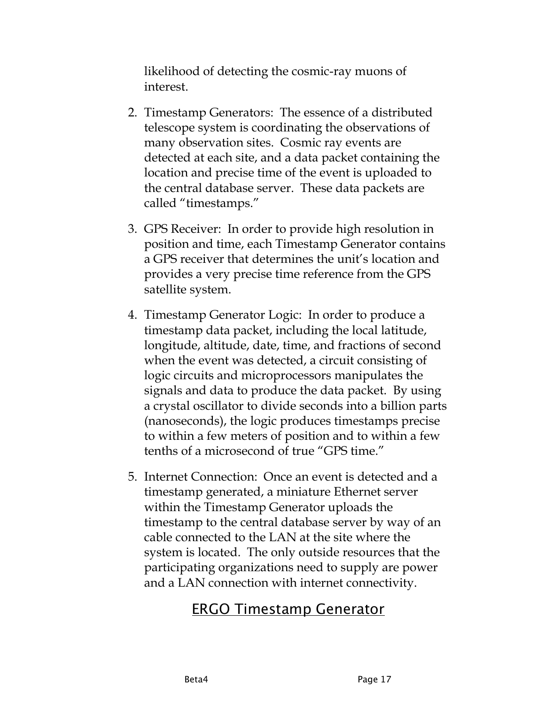likelihood of detecting the cosmic-ray muons of interest.

- 2. Timestamp Generators: The essence of a distributed telescope system is coordinating the observations of many observation sites. Cosmic ray events are detected at each site, and a data packet containing the location and precise time of the event is uploaded to the central database server. These data packets are called "timestamps."
- 3. GPS Receiver: In order to provide high resolution in position and time, each Timestamp Generator contains a GPS receiver that determines the unit's location and provides a very precise time reference from the GPS satellite system.
- 4. Timestamp Generator Logic: In order to produce a timestamp data packet, including the local latitude, longitude, altitude, date, time, and fractions of second when the event was detected, a circuit consisting of logic circuits and microprocessors manipulates the signals and data to produce the data packet. By using a crystal oscillator to divide seconds into a billion parts (nanoseconds), the logic produces timestamps precise to within a few meters of position and to within a few tenths of a microsecond of true "GPS time."
- 5. Internet Connection: Once an event is detected and a timestamp generated, a miniature Ethernet server within the Timestamp Generator uploads the timestamp to the central database server by way of an cable connected to the LAN at the site where the system is located. The only outside resources that the participating organizations need to supply are power and a LAN connection with internet connectivity.

## ERGO Timestamp Generator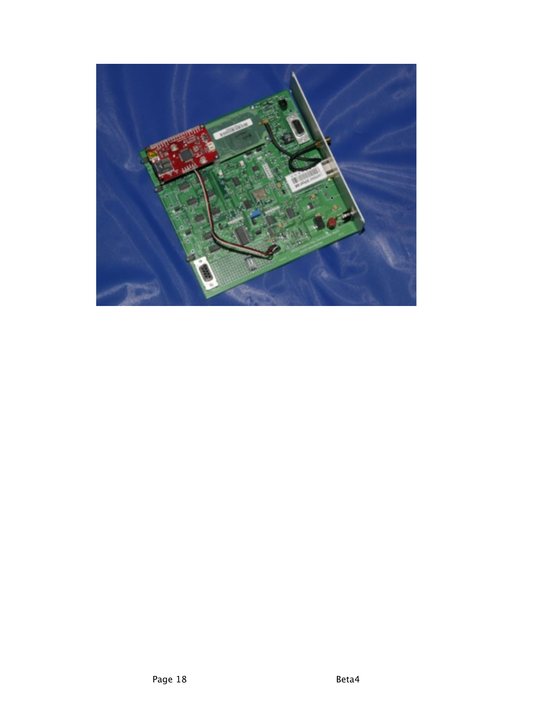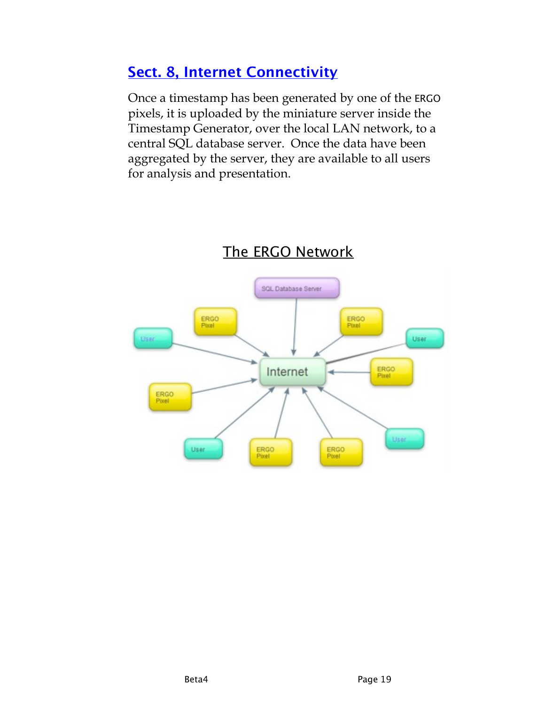## **Sect. 8, Internet Connectivity**

Once a timestamp has been generated by one of the ERGO pixels, it is uploaded by the miniature server inside the Timestamp Generator, over the local LAN network, to a central SQL database server. Once the data have been aggregated by the server, they are available to all users for analysis and presentation.

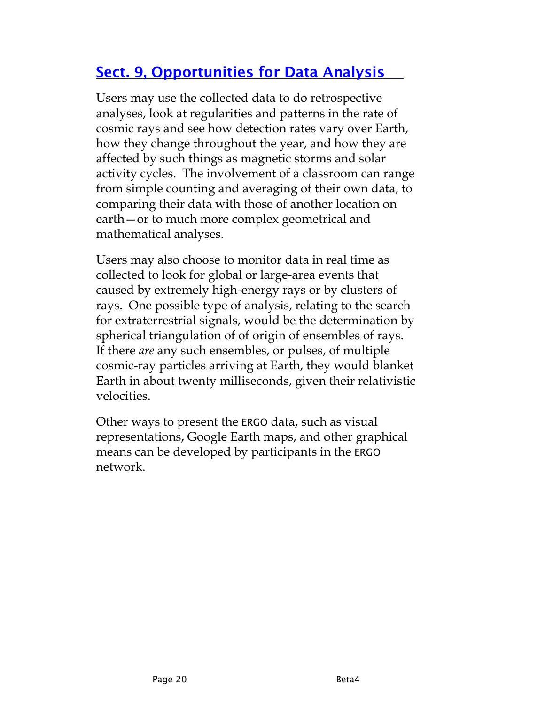## **Sect. 9, Opportunities for Data Analysis**

Users may use the collected data to do retrospective analyses, look at regularities and patterns in the rate of cosmic rays and see how detection rates vary over Earth, how they change throughout the year, and how they are affected by such things as magnetic storms and solar activity cycles. The involvement of a classroom can range from simple counting and averaging of their own data, to comparing their data with those of another location on earth—or to much more complex geometrical and mathematical analyses.

Users may also choose to monitor data in real time as collected to look for global or large-area events that caused by extremely high-energy rays or by clusters of rays. One possible type of analysis, relating to the search for extraterrestrial signals, would be the determination by spherical triangulation of of origin of ensembles of rays. If there *are* any such ensembles, or pulses, of multiple cosmic-ray particles arriving at Earth, they would blanket Earth in about twenty milliseconds, given their relativistic velocities.

Other ways to present the ERGO data, such as visual representations, Google Earth maps, and other graphical means can be developed by participants in the ERGO network.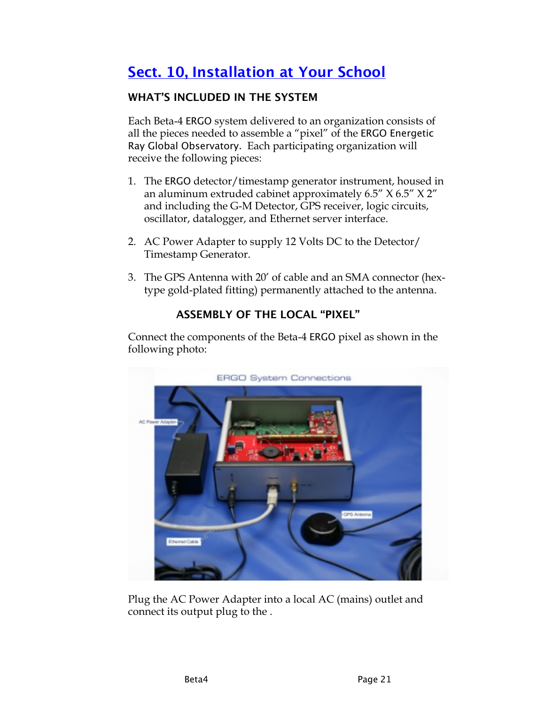## **Sect. 10, Installation at Your School**

#### **WHAT'S INCLUDED IN THE SYSTEM**

Each Beta-4 ERGO system delivered to an organization consists of all the pieces needed to assemble a "pixel" of the ERGO Energetic Ray Global Observatory. Each participating organization will receive the following pieces:

- 1. The ERGO detector/timestamp generator instrument, housed in an aluminum extruded cabinet approximately 6.5" X 6.5" X 2" and including the G-M Detector, GPS receiver, logic circuits, oscillator, datalogger, and Ethernet server interface.
- 2. AC Power Adapter to supply 12 Volts DC to the Detector/ Timestamp Generator.
- 3. The GPS Antenna with 20' of cable and an SMA connector (hextype gold-plated fitting) permanently attached to the antenna.

#### **ASSEMBLY OF THE LOCAL "PIXEL"**

Connect the components of the Beta-4 ERGO pixel as shown in the following photo:



Plug the AC Power Adapter into a local AC (mains) outlet and connect its output plug to the .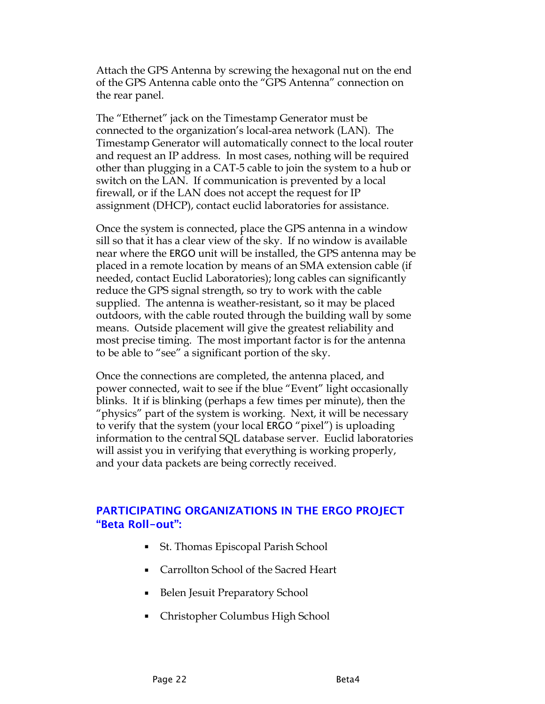Attach the GPS Antenna by screwing the hexagonal nut on the end of the GPS Antenna cable onto the "GPS Antenna" connection on the rear panel.

The "Ethernet" jack on the Timestamp Generator must be connected to the organization's local-area network (LAN). The Timestamp Generator will automatically connect to the local router and request an IP address. In most cases, nothing will be required other than plugging in a CAT-5 cable to join the system to a hub or switch on the LAN. If communication is prevented by a local firewall, or if the LAN does not accept the request for IP assignment (DHCP), contact euclid laboratories for assistance.

Once the system is connected, place the GPS antenna in a window sill so that it has a clear view of the sky. If no window is available near where the ERGO unit will be installed, the GPS antenna may be placed in a remote location by means of an SMA extension cable (if needed, contact Euclid Laboratories); long cables can significantly reduce the GPS signal strength, so try to work with the cable supplied. The antenna is weather-resistant, so it may be placed outdoors, with the cable routed through the building wall by some means. Outside placement will give the greatest reliability and most precise timing. The most important factor is for the antenna to be able to "see" a significant portion of the sky.

Once the connections are completed, the antenna placed, and power connected, wait to see if the blue "Event" light occasionally blinks. It if is blinking (perhaps a few times per minute), then the "physics" part of the system is working. Next, it will be necessary to verify that the system (your local ERGO "pixel") is uploading information to the central SQL database server. Euclid laboratories will assist you in verifying that everything is working properly, and your data packets are being correctly received.

#### **PARTICIPATING ORGANIZATIONS IN THE ERGO PROJECT "Beta Roll-out":**

- St. Thomas Episcopal Parish School
- Carrollton School of the Sacred Heart
- Belen Jesuit Preparatory School
- Christopher Columbus High School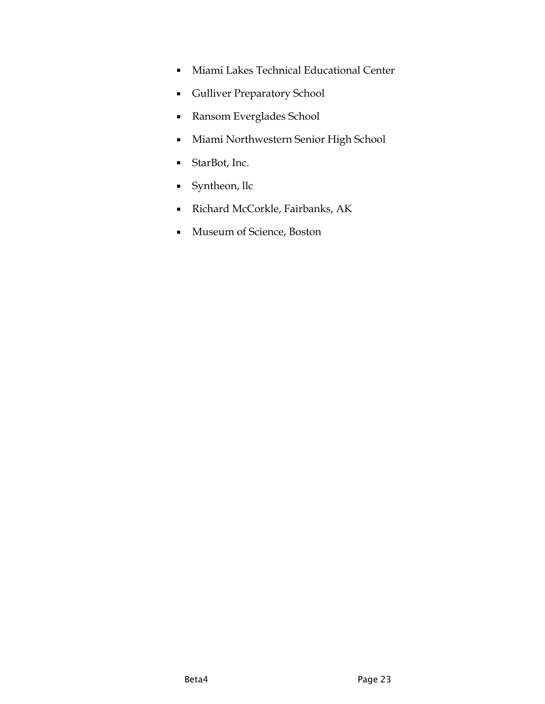- Miami Lakes Technical Educational Center
- Gulliver Preparatory School
- Ransom Everglades School
- Miami Northwestern Senior High School
- StarBot, Inc.
- Syntheon, llc
- Kichard McCorkle, Fairbanks, AK
- Museum of Science, Boston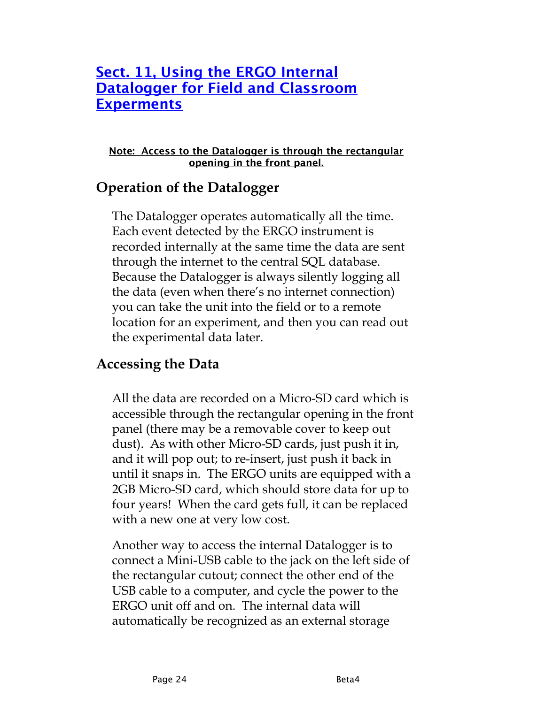#### **Sect. 11, Using the ERGO Internal Datalogger for Field and Classroom Experments**

#### **Note: Access to the Datalogger is through the rectangular opening in the front panel.**

#### **Operation of the Datalogger**

The Datalogger operates automatically all the time. Each event detected by the ERGO instrument is recorded internally at the same time the data are sent through the internet to the central SQL database. Because the Datalogger is always silently logging all the data (even when there's no internet connection) you can take the unit into the field or to a remote location for an experiment, and then you can read out the experimental data later.

## **Accessing the Data**

All the data are recorded on a Micro-SD card which is accessible through the rectangular opening in the front panel (there may be a removable cover to keep out dust). As with other Micro-SD cards, just push it in, and it will pop out; to re-insert, just push it back in until it snaps in. The ERGO units are equipped with a 2GB Micro-SD card, which should store data for up to four years! When the card gets full, it can be replaced with a new one at very low cost.

Another way to access the internal Datalogger is to connect a Mini-USB cable to the jack on the left side of the rectangular cutout; connect the other end of the USB cable to a computer, and cycle the power to the ERGO unit off and on. The internal data will automatically be recognized as an external storage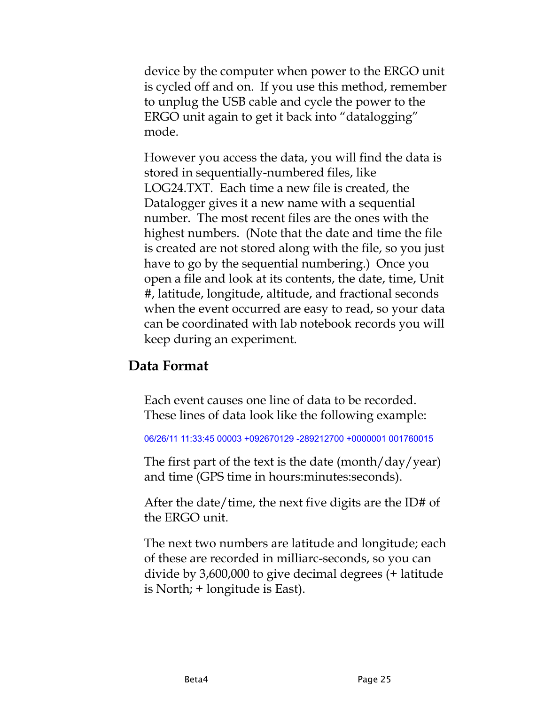device by the computer when power to the ERGO unit is cycled off and on. If you use this method, remember to unplug the USB cable and cycle the power to the ERGO unit again to get it back into "datalogging" mode.

However you access the data, you will find the data is stored in sequentially-numbered files, like LOG24.TXT. Each time a new file is created, the Datalogger gives it a new name with a sequential number. The most recent files are the ones with the highest numbers. (Note that the date and time the file is created are not stored along with the file, so you just have to go by the sequential numbering.) Once you open a file and look at its contents, the date, time, Unit #, latitude, longitude, altitude, and fractional seconds when the event occurred are easy to read, so your data can be coordinated with lab notebook records you will keep during an experiment.

#### **Data Format**

Each event causes one line of data to be recorded. These lines of data look like the following example:

06/26/11 11:33:45 00003 +092670129 -289212700 +0000001 001760015

The first part of the text is the date (month/day/year) and time (GPS time in hours:minutes:seconds).

After the date/time, the next five digits are the ID# of the ERGO unit.

The next two numbers are latitude and longitude; each of these are recorded in milliarc-seconds, so you can divide by 3,600,000 to give decimal degrees (+ latitude is North; + longitude is East).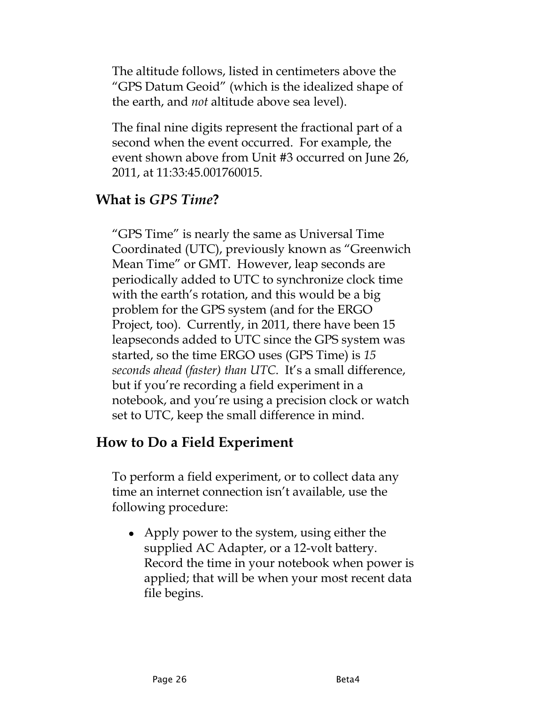The altitude follows, listed in centimeters above the "GPS Datum Geoid" (which is the idealized shape of the earth, and *not* altitude above sea level).

The final nine digits represent the fractional part of a second when the event occurred. For example, the event shown above from Unit #3 occurred on June 26, 2011, at 11:33:45.001760015.

#### **What is** *GPS Time***?**

"GPS Time" is nearly the same as Universal Time Coordinated (UTC), previously known as "Greenwich Mean Time" or GMT. However, leap seconds are periodically added to UTC to synchronize clock time with the earth's rotation, and this would be a big problem for the GPS system (and for the ERGO Project, too). Currently, in 2011, there have been 15 leapseconds added to UTC since the GPS system was started, so the time ERGO uses (GPS Time) is *15 seconds ahead (faster) than UTC*. It's a small difference, but if you're recording a field experiment in a notebook, and you're using a precision clock or watch set to UTC, keep the small difference in mind.

#### **How to Do a Field Experiment**

To perform a field experiment, or to collect data any time an internet connection isn't available, use the following procedure:

• Apply power to the system, using either the supplied AC Adapter, or a 12-volt battery. Record the time in your notebook when power is applied; that will be when your most recent data file begins.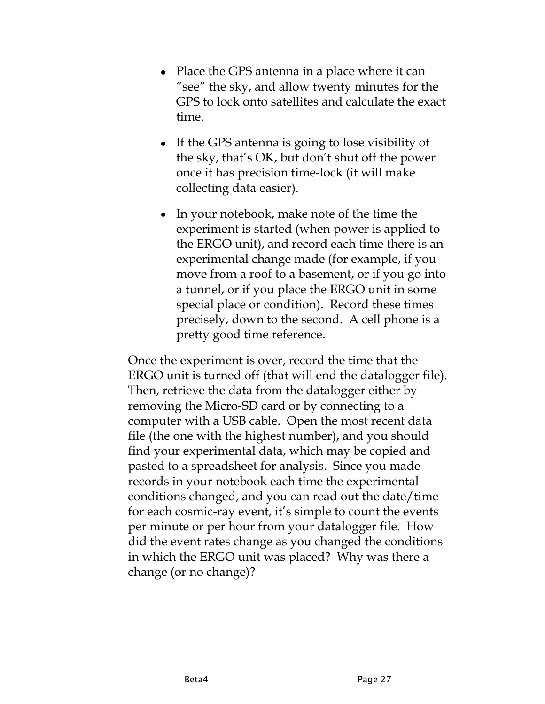- Place the GPS antenna in a place where it can "see" the sky, and allow twenty minutes for the GPS to lock onto satellites and calculate the exact time.
- If the GPS antenna is going to lose visibility of the sky, that's OK, but don't shut off the power once it has precision time-lock (it will make collecting data easier).
- In your notebook, make note of the time the experiment is started (when power is applied to the ERGO unit), and record each time there is an experimental change made (for example, if you move from a roof to a basement, or if you go into a tunnel, or if you place the ERGO unit in some special place or condition). Record these times precisely, down to the second. A cell phone is a pretty good time reference.

Once the experiment is over, record the time that the ERGO unit is turned off (that will end the datalogger file). Then, retrieve the data from the datalogger either by removing the Micro-SD card or by connecting to a computer with a USB cable. Open the most recent data file (the one with the highest number), and you should find your experimental data, which may be copied and pasted to a spreadsheet for analysis. Since you made records in your notebook each time the experimental conditions changed, and you can read out the date/time for each cosmic-ray event, it's simple to count the events per minute or per hour from your datalogger file. How did the event rates change as you changed the conditions in which the ERGO unit was placed? Why was there a change (or no change)?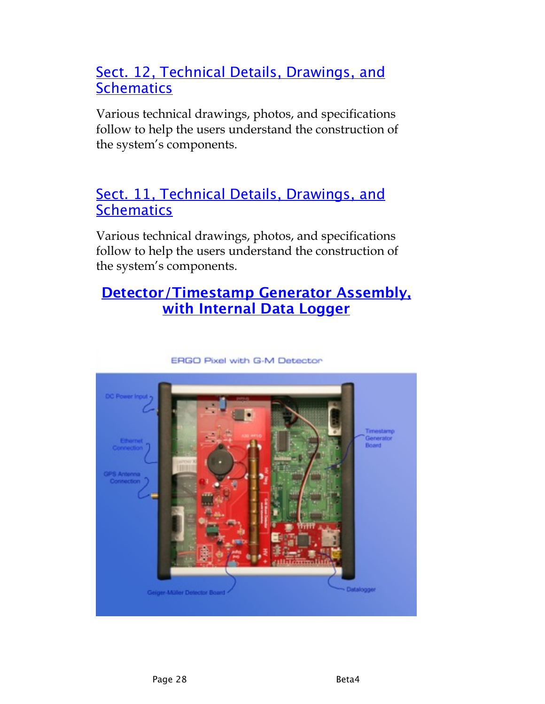## Sect. 12, Technical Details, Drawings, and **Schematics**

Various technical drawings, photos, and specifications follow to help the users understand the construction of the system's components.

#### Sect. 11, Technical Details, Drawings, and **Schematics**

Various technical drawings, photos, and specifications follow to help the users understand the construction of the system's components.

## **Detector/Timestamp Generator Assembly, with Internal Data Logger**



#### ERGO Pixel with G-M Detector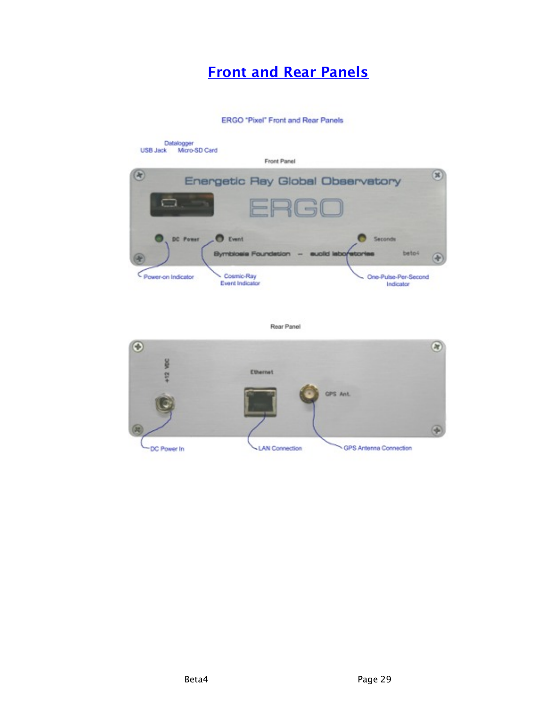## **Front and Rear Panels**

ERGO "Pixel" Front and Rear Panels



Rear Panel

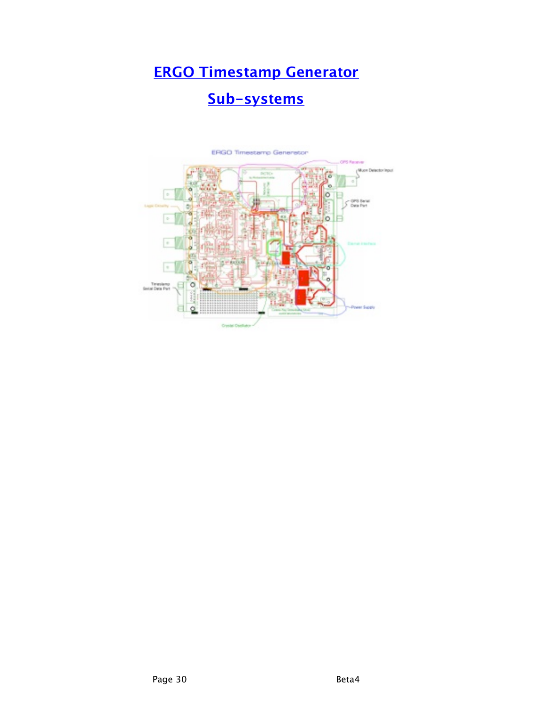# **ERGO Timestamp Generator**

# **Sub-systems**

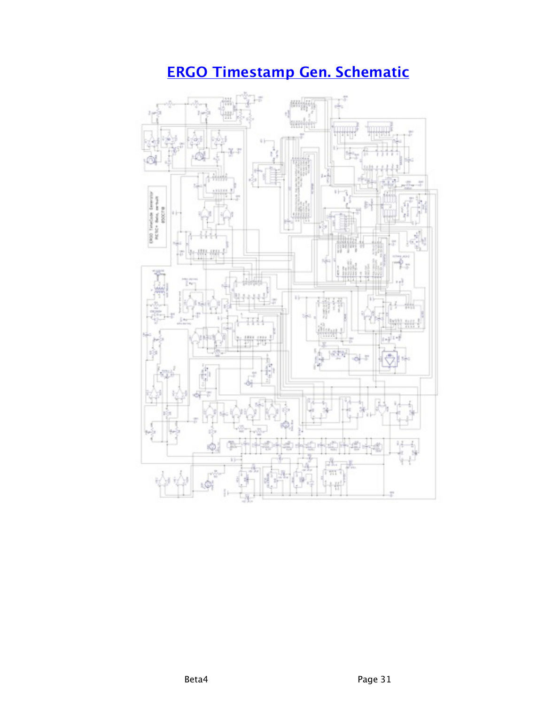# **ERGO Timestamp Gen. Schematic**

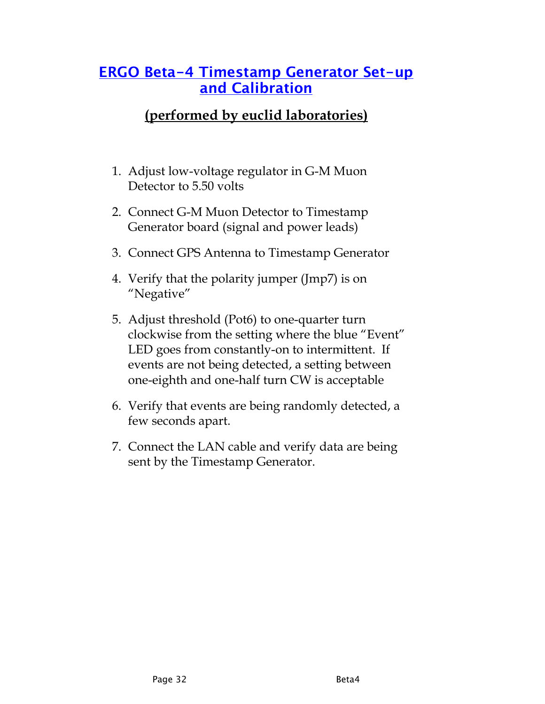#### **ERGO Beta-4 Timestamp Generator Set-up and Calibration**

#### **(performed by euclid laboratories)**

- 1. Adjust low-voltage regulator in G-M Muon Detector to 5.50 volts
- 2. Connect G-M Muon Detector to Timestamp Generator board (signal and power leads)
- 3. Connect GPS Antenna to Timestamp Generator
- 4. Verify that the polarity jumper (Jmp7) is on "Negative"
- 5. Adjust threshold (Pot6) to one-quarter turn clockwise from the setting where the blue "Event" LED goes from constantly-on to intermittent. If events are not being detected, a setting between one-eighth and one-half turn CW is acceptable
- 6. Verify that events are being randomly detected, a few seconds apart.
- 7. Connect the LAN cable and verify data are being sent by the Timestamp Generator.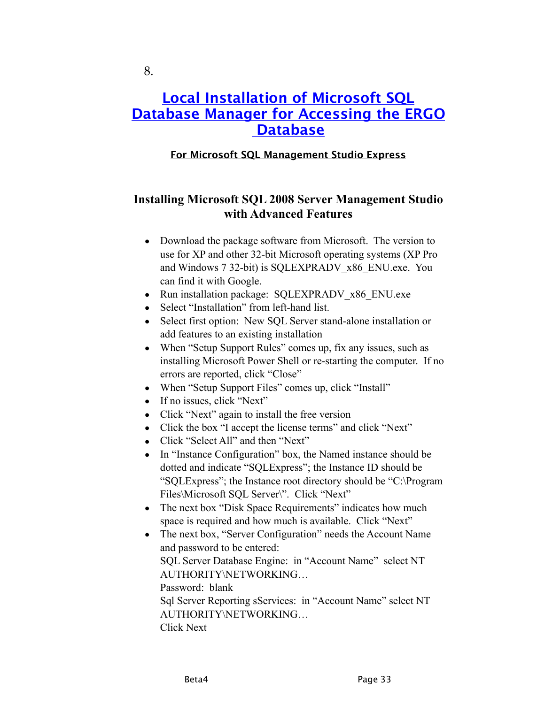#### **Local Installation of Microsoft SQL Database Manager for Accessing the ERGO Database**

#### **For Microsoft SQL Management Studio Express**

#### **Installing Microsoft SQL 2008 Server Management Studio with Advanced Features**

- Download the package software from Microsoft. The version to use for XP and other 32-bit Microsoft operating systems (XP Pro and Windows 7 32-bit) is SQLEXPRADV\_x86\_ENU.exe. You can find it with Google.
- Run installation package: SQLEXPRADV x86 ENU.exe
- Select "Installation" from left-hand list.
- Select first option: New SQL Server stand-alone installation or add features to an existing installation
- When "Setup Support Rules" comes up, fix any issues, such as installing Microsoft Power Shell or re-starting the computer. If no errors are reported, click "Close"
- When "Setup Support Files" comes up, click "Install"
- If no issues, click "Next"
- Click "Next" again to install the free version
- Click the box "I accept the license terms" and click "Next"
- Click "Select All" and then "Next"
- In "Instance Configuration" box, the Named instance should be dotted and indicate "SQLExpress"; the Instance ID should be "SQLExpress"; the Instance root directory should be "C:\Program Files\Microsoft SQL Server\". Click "Next"
- The next box "Disk Space Requirements" indicates how much space is required and how much is available. Click "Next"
- The next box, "Server Configuration" needs the Account Name and password to be entered:

SQL Server Database Engine: in "Account Name" select NT AUTHORITY\NETWORKING…

Password: blank

Sql Server Reporting sServices: in "Account Name" select NT AUTHORITY\NETWORKING…

Click Next